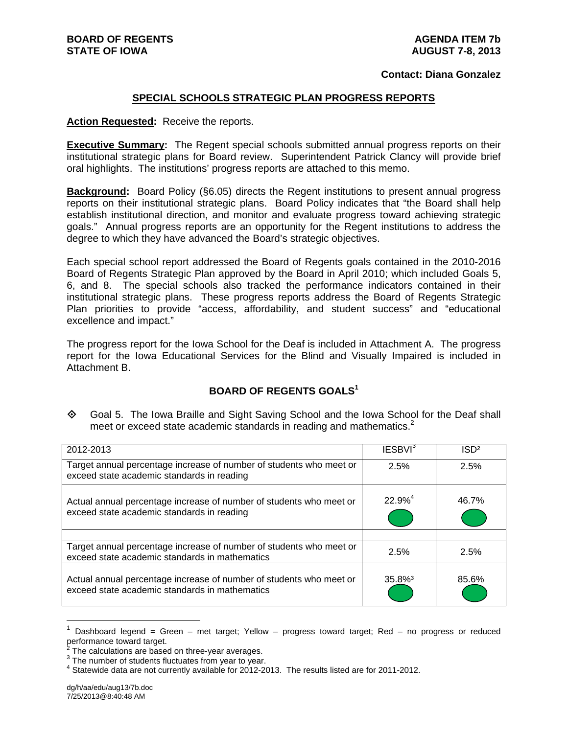#### **Contact: Diana Gonzalez**

#### **SPECIAL SCHOOLS STRATEGIC PLAN PROGRESS REPORTS**

**Action Requested:** Receive the reports.

**Executive Summary:** The Regent special schools submitted annual progress reports on their institutional strategic plans for Board review. Superintendent Patrick Clancy will provide brief oral highlights. The institutions' progress reports are attached to this memo.

**Background:** Board Policy (§6.05) directs the Regent institutions to present annual progress reports on their institutional strategic plans. Board Policy indicates that "the Board shall help establish institutional direction, and monitor and evaluate progress toward achieving strategic goals." Annual progress reports are an opportunity for the Regent institutions to address the degree to which they have advanced the Board's strategic objectives.

Each special school report addressed the Board of Regents goals contained in the 2010-2016 Board of Regents Strategic Plan approved by the Board in April 2010; which included Goals 5, 6, and 8. The special schools also tracked the performance indicators contained in their institutional strategic plans. These progress reports address the Board of Regents Strategic Plan priorities to provide "access, affordability, and student success" and "educational excellence and impact."

The progress report for the Iowa School for the Deaf is included in Attachment A. The progress report for the Iowa Educational Services for the Blind and Visually Impaired is included in Attachment B.

#### **BOARD OF REGENTS GOALS<sup>1</sup>**

 Goal 5. The Iowa Braille and Sight Saving School and the Iowa School for the Deaf shall meet or exceed state academic standards in reading and mathematics.<sup>2</sup>

| 2012-2013                                                                                                             | IESBVI <sup>3</sup>   | ISD <sup>2</sup> |
|-----------------------------------------------------------------------------------------------------------------------|-----------------------|------------------|
| Target annual percentage increase of number of students who meet or<br>exceed state academic standards in reading     | 2.5%                  | 2.5%             |
| Actual annual percentage increase of number of students who meet or<br>exceed state academic standards in reading     | $22.9%^{4}$           | 46.7%            |
|                                                                                                                       |                       |                  |
| Target annual percentage increase of number of students who meet or<br>exceed state academic standards in mathematics | 2.5%                  | 2.5%             |
| Actual annual percentage increase of number of students who meet or<br>exceed state academic standards in mathematics | $35.8\%$ <sup>3</sup> | 85.6%            |

<sup>1</sup> Dashboard legend = Green – met target; Yellow – progress toward target; Red – no progress or reduced performance toward target.<br><sup>2</sup> The coloulations are based

 $\overline{a}$ 

The calculations are based on three-year averages.

 $3$  The number of students fluctuates from year to year.

<sup>&</sup>lt;sup>4</sup> Statewide data are not currently available for 2012-2013. The results listed are for 2011-2012.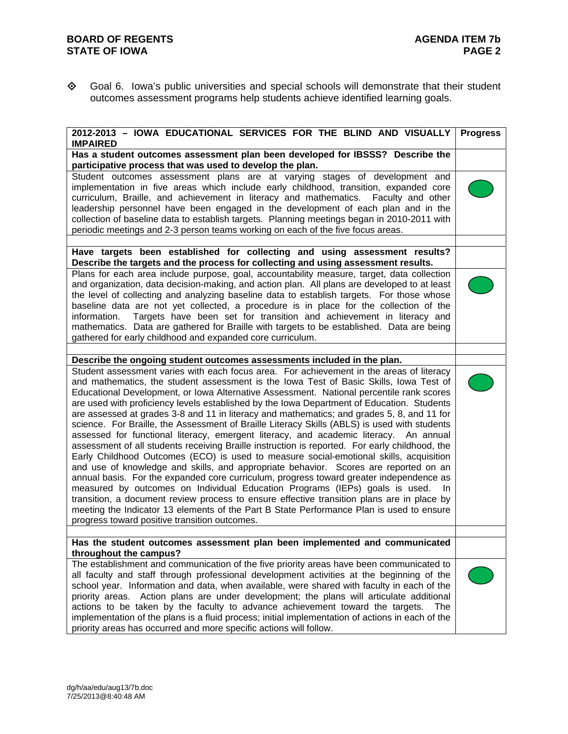Goal 6. Iowa's public universities and special schools will demonstrate that their student outcomes assessment programs help students achieve identified learning goals.

| 2012-2013 - IOWA EDUCATIONAL SERVICES FOR THE BLIND AND VISUALLY<br><b>IMPAIRED</b>                                                                                                                                                                                                                                                                                                                                                                                                                                                                                                                                                                                                                                                                                                                                                                                                                                                                                                                                                                                                                                                                                                                                                                                                                                                                                                                                                                            | <b>Progress</b> |
|----------------------------------------------------------------------------------------------------------------------------------------------------------------------------------------------------------------------------------------------------------------------------------------------------------------------------------------------------------------------------------------------------------------------------------------------------------------------------------------------------------------------------------------------------------------------------------------------------------------------------------------------------------------------------------------------------------------------------------------------------------------------------------------------------------------------------------------------------------------------------------------------------------------------------------------------------------------------------------------------------------------------------------------------------------------------------------------------------------------------------------------------------------------------------------------------------------------------------------------------------------------------------------------------------------------------------------------------------------------------------------------------------------------------------------------------------------------|-----------------|
| Has a student outcomes assessment plan been developed for IBSSS? Describe the<br>participative process that was used to develop the plan.                                                                                                                                                                                                                                                                                                                                                                                                                                                                                                                                                                                                                                                                                                                                                                                                                                                                                                                                                                                                                                                                                                                                                                                                                                                                                                                      |                 |
| Student outcomes assessment plans are at varying stages of development and<br>implementation in five areas which include early childhood, transition, expanded core<br>curriculum, Braille, and achievement in literacy and mathematics. Faculty and other<br>leadership personnel have been engaged in the development of each plan and in the<br>collection of baseline data to establish targets. Planning meetings began in 2010-2011 with<br>periodic meetings and 2-3 person teams working on each of the five focus areas.                                                                                                                                                                                                                                                                                                                                                                                                                                                                                                                                                                                                                                                                                                                                                                                                                                                                                                                              |                 |
| Have targets been established for collecting and using assessment results?<br>Describe the targets and the process for collecting and using assessment results.                                                                                                                                                                                                                                                                                                                                                                                                                                                                                                                                                                                                                                                                                                                                                                                                                                                                                                                                                                                                                                                                                                                                                                                                                                                                                                |                 |
| Plans for each area include purpose, goal, accountability measure, target, data collection<br>and organization, data decision-making, and action plan. All plans are developed to at least<br>the level of collecting and analyzing baseline data to establish targets. For those whose<br>baseline data are not yet collected, a procedure is in place for the collection of the<br>Targets have been set for transition and achievement in literacy and<br>information.<br>mathematics. Data are gathered for Braille with targets to be established. Data are being<br>gathered for early childhood and expanded core curriculum.                                                                                                                                                                                                                                                                                                                                                                                                                                                                                                                                                                                                                                                                                                                                                                                                                           |                 |
|                                                                                                                                                                                                                                                                                                                                                                                                                                                                                                                                                                                                                                                                                                                                                                                                                                                                                                                                                                                                                                                                                                                                                                                                                                                                                                                                                                                                                                                                |                 |
| Describe the ongoing student outcomes assessments included in the plan.<br>Student assessment varies with each focus area. For achievement in the areas of literacy<br>and mathematics, the student assessment is the lowa Test of Basic Skills, lowa Test of<br>Educational Development, or Iowa Alternative Assessment. National percentile rank scores<br>are used with proficiency levels established by the Iowa Department of Education. Students<br>are assessed at grades 3-8 and 11 in literacy and mathematics; and grades 5, 8, and 11 for<br>science. For Braille, the Assessment of Braille Literacy Skills (ABLS) is used with students<br>assessed for functional literacy, emergent literacy, and academic literacy. An annual<br>assessment of all students receiving Braille instruction is reported. For early childhood, the<br>Early Childhood Outcomes (ECO) is used to measure social-emotional skills, acquisition<br>and use of knowledge and skills, and appropriate behavior. Scores are reported on an<br>annual basis. For the expanded core curriculum, progress toward greater independence as<br>measured by outcomes on Individual Education Programs (IEPs) goals is used.<br>In.<br>transition, a document review process to ensure effective transition plans are in place by<br>meeting the Indicator 13 elements of the Part B State Performance Plan is used to ensure<br>progress toward positive transition outcomes. |                 |
| Has the student outcomes assessment plan been implemented and communicated                                                                                                                                                                                                                                                                                                                                                                                                                                                                                                                                                                                                                                                                                                                                                                                                                                                                                                                                                                                                                                                                                                                                                                                                                                                                                                                                                                                     |                 |
| throughout the campus?<br>The establishment and communication of the five priority areas have been communicated to<br>all faculty and staff through professional development activities at the beginning of the<br>school year. Information and data, when available, were shared with faculty in each of the<br>priority areas. Action plans are under development; the plans will articulate additional<br>actions to be taken by the faculty to advance achievement toward the targets.<br>The<br>implementation of the plans is a fluid process; initial implementation of actions in each of the<br>priority areas has occurred and more specific actions will follow.                                                                                                                                                                                                                                                                                                                                                                                                                                                                                                                                                                                                                                                                                                                                                                                    |                 |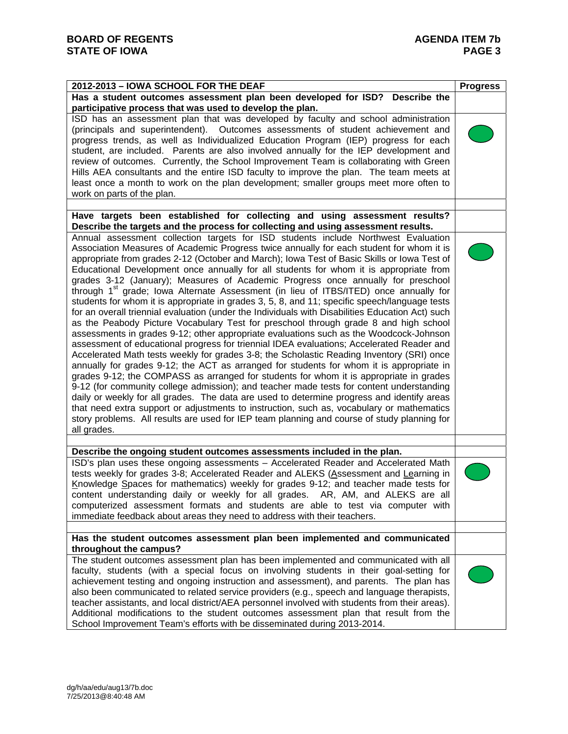| 2012-2013 - IOWA SCHOOL FOR THE DEAF                                                                                                                                                                                                                                                                                                                                                                                                                                                                                                                                                                                                                                                                                                                                                                                                                                                                                                                                                                                                                                                                                                                                                                                                                                                                                                                                                                                                                                                                                                                                                                                                                                                                                                         | <b>Progress</b> |
|----------------------------------------------------------------------------------------------------------------------------------------------------------------------------------------------------------------------------------------------------------------------------------------------------------------------------------------------------------------------------------------------------------------------------------------------------------------------------------------------------------------------------------------------------------------------------------------------------------------------------------------------------------------------------------------------------------------------------------------------------------------------------------------------------------------------------------------------------------------------------------------------------------------------------------------------------------------------------------------------------------------------------------------------------------------------------------------------------------------------------------------------------------------------------------------------------------------------------------------------------------------------------------------------------------------------------------------------------------------------------------------------------------------------------------------------------------------------------------------------------------------------------------------------------------------------------------------------------------------------------------------------------------------------------------------------------------------------------------------------|-----------------|
| Has a student outcomes assessment plan been developed for ISD? Describe the                                                                                                                                                                                                                                                                                                                                                                                                                                                                                                                                                                                                                                                                                                                                                                                                                                                                                                                                                                                                                                                                                                                                                                                                                                                                                                                                                                                                                                                                                                                                                                                                                                                                  |                 |
| participative process that was used to develop the plan.                                                                                                                                                                                                                                                                                                                                                                                                                                                                                                                                                                                                                                                                                                                                                                                                                                                                                                                                                                                                                                                                                                                                                                                                                                                                                                                                                                                                                                                                                                                                                                                                                                                                                     |                 |
| ISD has an assessment plan that was developed by faculty and school administration<br>(principals and superintendent). Outcomes assessments of student achievement and<br>progress trends, as well as Individualized Education Program (IEP) progress for each<br>student, are included. Parents are also involved annually for the IEP development and<br>review of outcomes. Currently, the School Improvement Team is collaborating with Green<br>Hills AEA consultants and the entire ISD faculty to improve the plan. The team meets at<br>least once a month to work on the plan development; smaller groups meet more often to<br>work on parts of the plan.                                                                                                                                                                                                                                                                                                                                                                                                                                                                                                                                                                                                                                                                                                                                                                                                                                                                                                                                                                                                                                                                          |                 |
|                                                                                                                                                                                                                                                                                                                                                                                                                                                                                                                                                                                                                                                                                                                                                                                                                                                                                                                                                                                                                                                                                                                                                                                                                                                                                                                                                                                                                                                                                                                                                                                                                                                                                                                                              |                 |
| Have targets been established for collecting and using assessment results?<br>Describe the targets and the process for collecting and using assessment results.                                                                                                                                                                                                                                                                                                                                                                                                                                                                                                                                                                                                                                                                                                                                                                                                                                                                                                                                                                                                                                                                                                                                                                                                                                                                                                                                                                                                                                                                                                                                                                              |                 |
| Annual assessment collection targets for ISD students include Northwest Evaluation<br>Association Measures of Academic Progress twice annually for each student for whom it is<br>appropriate from grades 2-12 (October and March); lowa Test of Basic Skills or lowa Test of<br>Educational Development once annually for all students for whom it is appropriate from<br>grades 3-12 (January); Measures of Academic Progress once annually for preschool<br>through 1 <sup>st</sup> grade; lowa Alternate Assessment (in lieu of ITBS/ITED) once annually for<br>students for whom it is appropriate in grades 3, 5, 8, and 11; specific speech/language tests<br>for an overall triennial evaluation (under the Individuals with Disabilities Education Act) such<br>as the Peabody Picture Vocabulary Test for preschool through grade 8 and high school<br>assessments in grades 9-12; other appropriate evaluations such as the Woodcock-Johnson<br>assessment of educational progress for triennial IDEA evaluations; Accelerated Reader and<br>Accelerated Math tests weekly for grades 3-8; the Scholastic Reading Inventory (SRI) once<br>annually for grades 9-12; the ACT as arranged for students for whom it is appropriate in<br>grades 9-12; the COMPASS as arranged for students for whom it is appropriate in grades<br>9-12 (for community college admission); and teacher made tests for content understanding<br>daily or weekly for all grades. The data are used to determine progress and identify areas<br>that need extra support or adjustments to instruction, such as, vocabulary or mathematics<br>story problems. All results are used for IEP team planning and course of study planning for<br>all grades. |                 |
|                                                                                                                                                                                                                                                                                                                                                                                                                                                                                                                                                                                                                                                                                                                                                                                                                                                                                                                                                                                                                                                                                                                                                                                                                                                                                                                                                                                                                                                                                                                                                                                                                                                                                                                                              |                 |
| Describe the ongoing student outcomes assessments included in the plan.<br>ISD's plan uses these ongoing assessments - Accelerated Reader and Accelerated Math<br>tests weekly for grades 3-8; Accelerated Reader and ALEKS (Assessment and Learning in<br>Knowledge Spaces for mathematics) weekly for grades 9-12; and teacher made tests for<br>content understanding daily or weekly for all grades. AR, AM, and ALEKS are all<br>computerized assessment formats and students are able to test via computer with<br>immediate feedback about areas they need to address with their teachers.                                                                                                                                                                                                                                                                                                                                                                                                                                                                                                                                                                                                                                                                                                                                                                                                                                                                                                                                                                                                                                                                                                                                            |                 |
| Has the student outcomes assessment plan been implemented and communicated                                                                                                                                                                                                                                                                                                                                                                                                                                                                                                                                                                                                                                                                                                                                                                                                                                                                                                                                                                                                                                                                                                                                                                                                                                                                                                                                                                                                                                                                                                                                                                                                                                                                   |                 |
| throughout the campus?                                                                                                                                                                                                                                                                                                                                                                                                                                                                                                                                                                                                                                                                                                                                                                                                                                                                                                                                                                                                                                                                                                                                                                                                                                                                                                                                                                                                                                                                                                                                                                                                                                                                                                                       |                 |
| The student outcomes assessment plan has been implemented and communicated with all<br>faculty, students (with a special focus on involving students in their goal-setting for<br>achievement testing and ongoing instruction and assessment), and parents. The plan has<br>also been communicated to related service providers (e.g., speech and language therapists,<br>teacher assistants, and local district/AEA personnel involved with students from their areas).<br>Additional modifications to the student outcomes assessment plan that result from the<br>School Improvement Team's efforts with be disseminated during 2013-2014.                                                                                                                                                                                                                                                                                                                                                                                                                                                                                                                                                                                                                                                                                                                                                                                                                                                                                                                                                                                                                                                                                                |                 |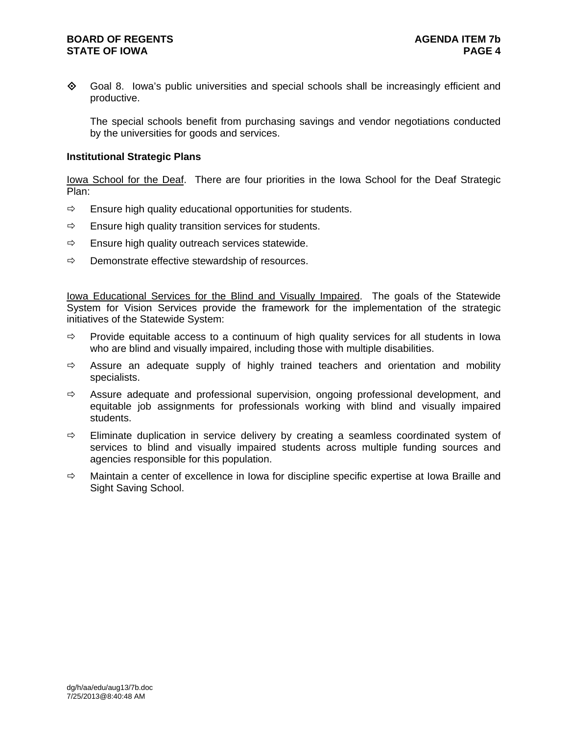### **BOARD OF REGENTS AGENDA ITEM 7b STATE OF IOWA** PAGE 4

◆ Goal 8. Iowa's public universities and special schools shall be increasingly efficient and productive.

The special schools benefit from purchasing savings and vendor negotiations conducted by the universities for goods and services.

#### **Institutional Strategic Plans**

Iowa School for the Deaf. There are four priorities in the Iowa School for the Deaf Strategic Plan:

- $\Rightarrow$  Ensure high quality educational opportunities for students.
- $\Rightarrow$  Ensure high quality transition services for students.
- $\Rightarrow$  Ensure high quality outreach services statewide.
- $\Rightarrow$  Demonstrate effective stewardship of resources.

Iowa Educational Services for the **Blind and Visually Impaired**. The goals of the Statewide System for Vision Services provide the framework for the implementation of the strategic initiatives of the Statewide System:

- $\Rightarrow$  Provide equitable access to a continuum of high quality services for all students in Iowa who are blind and visually impaired, including those with multiple disabilities.
- $\Rightarrow$  Assure an adequate supply of highly trained teachers and orientation and mobility specialists.
- $\Rightarrow$  Assure adequate and professional supervision, ongoing professional development, and equitable job assignments for professionals working with blind and visually impaired students.
- $\Rightarrow$  Eliminate duplication in service delivery by creating a seamless coordinated system of services to blind and visually impaired students across multiple funding sources and agencies responsible for this population.
- $\Rightarrow$  Maintain a center of excellence in Iowa for discipline specific expertise at Iowa Braille and Sight Saving School.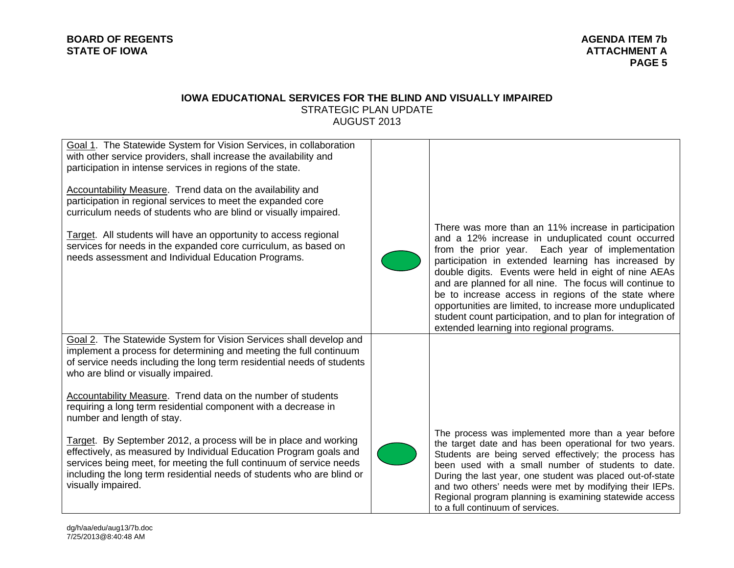#### **IOWA EDUCATIONAL SERVICES FOR THE BLIND AND VISUALLY IMPAIRED** STRATEGIC PLAN UPDATE AUGUST 2013

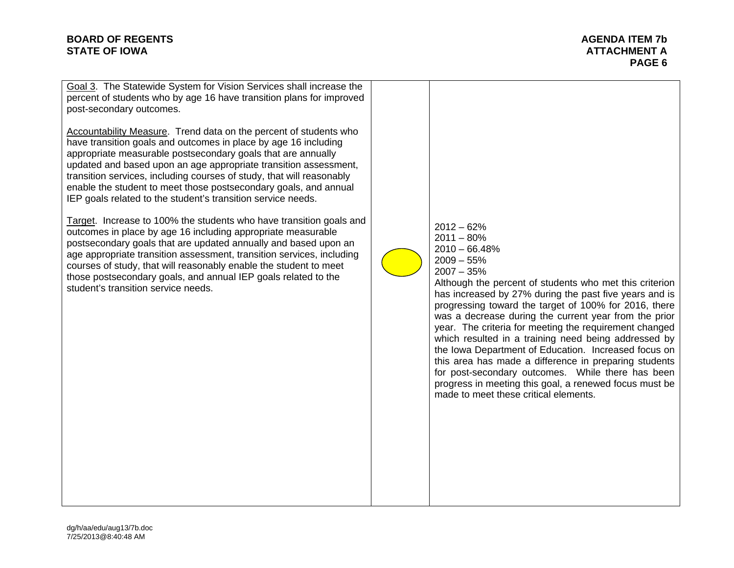Goal 3. The Statewide System for Vision Services shall increase the percent of students who by age 16 have transition plans for improved post-secondary outcomes.

Accountability Measure. Trend data on the percent of students who have transition goals and outcomes in place by age 16 including appropriate measurable postsecondary goals that are annually updated and based upon an age appropriate transition assessment, transition services, including courses of study, that will reasonably enable the student to meet those postsecondary goals, and annual IEP goals related to the student's transition service needs.

Target. Increase to 100% the students who have transition goals and outcomes in place by age 16 including appropriate measurable postsecondary goals that are updated annually and based upon an age appropriate transition assessment, transition services, including courses of study, that will reasonably enable the student to meet those postsecondary goals, and annual IEP goals related to the student's transition service needs.

 $2012 - 62%$  $2011 - 80%$  $2010 - 66.48%$  $2009 - 55%$ 2007 – 35%

Although the percent of students who met this criterion has increased by 27% during the past five years and is progressing toward the target of 100% for 2016, there was a decrease during the current year from the prior year. The criteria for meeting the requirement changed which resulted in a training need being addressed by the Iowa Department of Education. Increased focus on this area has made a difference in preparing students for post-secondary outcomes. While there has been progress in meeting this goal, a renewed focus must be made to meet these critical elements.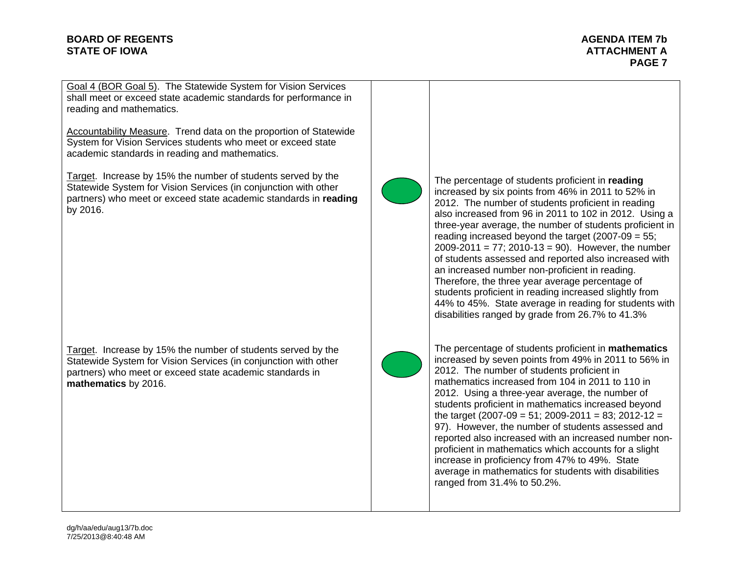**PAGE 7** 

Goal 4 (BOR Goal 5). The Statewide System for Vision Services shall meet or exceed state academic standards for performance in reading and mathematics.

Accountability Measure. Trend data on the proportion of Statewide System for Vision Services students who meet or exceed state academic standards in reading and mathematics.

Target. Increase by 15% the number of students served by the Statewide System for Vision Services (in conjunction with other partners) who meet or exceed state academic standards in **reading** by 2016.

Target. Increase by 15% the number of students served by the Statewide System for Vision Services (in conjunction with other partners) who meet or exceed state academic standards in **mathematics** by 2016.



The percentage of students proficient in **reading** increased by six points from 46% in 2011 to 52% in 2012. The number of students proficient in reading also increased from 96 in 2011 to 102 in 2012. Using a three-year average, the number of students proficient in reading increased beyond the target (2007-09 = 55; 2009-2011 =  $77$ ; 2010-13 = 90). However, the number of students assessed and reported also increased with an increased number non-proficient in reading. Therefore, the three year average percentage of students proficient in reading increased slightly from 44% to 45%. State average in reading for students with disabilities ranged by grade from 26.7% to 41.3%



The percentage of students proficient in **mathematics** increased by seven points from 49% in 2011 to 56% in 2012. The number of students proficient in mathematics increased from 104 in 2011 to 110 in 2012. Using a three-year average, the number of students proficient in mathematics increased beyond the target (2007-09 = 51; 2009-2011 = 83; 2012-12 = 97). However, the number of students assessed and reported also increased with an increased number nonproficient in mathematics which accounts for a slight increase in proficiency from 47% to 49%. State average in mathematics for students with disabilities ranged from 31.4% to 50.2%.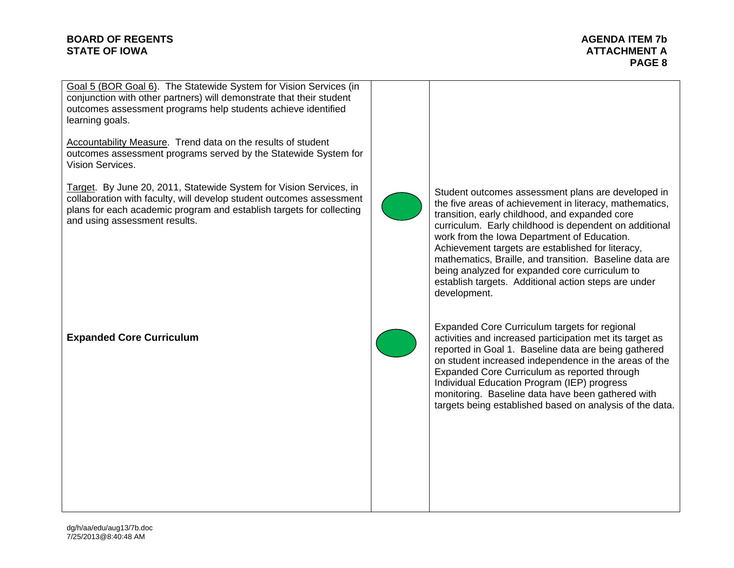**PAGE 8** 

Goal 5 (BOR Goal 6). The Statewide System for Vision Services (in conjunction with other partners) will demonstrate that their student outcomes assessment programs help students achieve identified learning goals.

Accountability Measure. Trend data on the results of student outcomes assessment programs served by the Statewide System for Vision Services.

Target. By June 20, 2011, Statewide System for Vision Services, in collaboration with faculty, will develop student outcomes assessment plans for each academic program and establish targets for collecting and using assessment results.

**Expanded Core Curriculum** 



Student outcomes assessment plans are developed in the five areas of achievement in literacy, mathematics, transition, early childhood, and expanded core curriculum. Early childhood is dependent on additional work from the Iowa Department of Education. Achievement targets are established for literacy, mathematics, Braille, and transition. Baseline data are being analyzed for expanded core curriculum to establish targets. Additional action steps are under development.



Expanded Core Curriculum targets for regional activities and increased participation met its target as reported in Goal 1. Baseline data are being gathered on student increased independence in the areas of the Expanded Core Curriculum as reported through Individual Education Program (IEP) progress monitoring. Baseline data have been gathered with targets being established based on analysis of the data.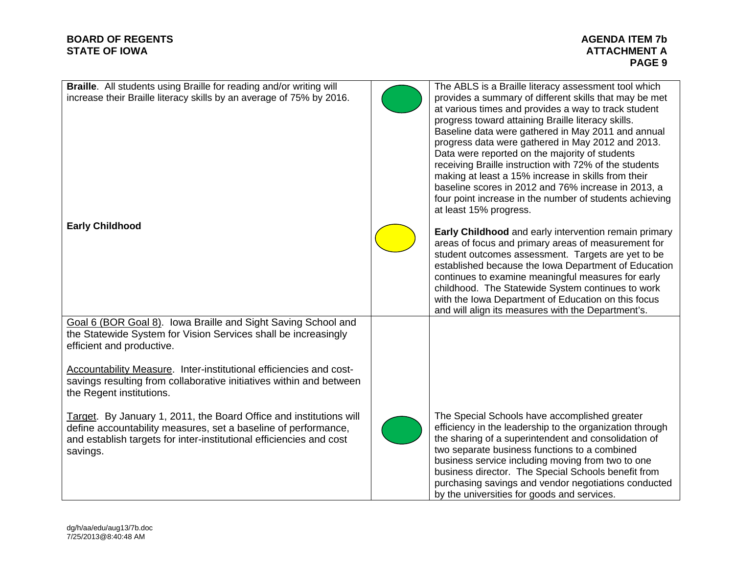## **BOARD OF REGENTS STATE OF IOWA ATTACHMENT A**

| <b>Braille.</b> All students using Braille for reading and/or writing will<br>increase their Braille literacy skills by an average of 75% by 2016.                                                                                                                                                               | The ABLS is a Braille literacy assessment tool which<br>provides a summary of different skills that may be met<br>at various times and provides a way to track student<br>progress toward attaining Braille literacy skills.<br>Baseline data were gathered in May 2011 and annual<br>progress data were gathered in May 2012 and 2013.<br>Data were reported on the majority of students<br>receiving Braille instruction with 72% of the students<br>making at least a 15% increase in skills from their<br>baseline scores in 2012 and 76% increase in 2013, a<br>four point increase in the number of students achieving<br>at least 15% progress. |
|------------------------------------------------------------------------------------------------------------------------------------------------------------------------------------------------------------------------------------------------------------------------------------------------------------------|--------------------------------------------------------------------------------------------------------------------------------------------------------------------------------------------------------------------------------------------------------------------------------------------------------------------------------------------------------------------------------------------------------------------------------------------------------------------------------------------------------------------------------------------------------------------------------------------------------------------------------------------------------|
| <b>Early Childhood</b>                                                                                                                                                                                                                                                                                           | Early Childhood and early intervention remain primary<br>areas of focus and primary areas of measurement for<br>student outcomes assessment. Targets are yet to be<br>established because the Iowa Department of Education<br>continues to examine meaningful measures for early<br>childhood. The Statewide System continues to work<br>with the Iowa Department of Education on this focus<br>and will align its measures with the Department's.                                                                                                                                                                                                     |
| Goal 6 (BOR Goal 8). Iowa Braille and Sight Saving School and<br>the Statewide System for Vision Services shall be increasingly<br>efficient and productive.<br><b>Accountability Measure.</b> Inter-institutional efficiencies and cost-<br>savings resulting from collaborative initiatives within and between |                                                                                                                                                                                                                                                                                                                                                                                                                                                                                                                                                                                                                                                        |
| the Regent institutions.<br>Target. By January 1, 2011, the Board Office and institutions will<br>define accountability measures, set a baseline of performance,<br>and establish targets for inter-institutional efficiencies and cost<br>savings.                                                              | The Special Schools have accomplished greater<br>efficiency in the leadership to the organization through<br>the sharing of a superintendent and consolidation of<br>two separate business functions to a combined<br>business service including moving from two to one<br>business director. The Special Schools benefit from<br>purchasing savings and vendor negotiations conducted<br>by the universities for goods and services.                                                                                                                                                                                                                  |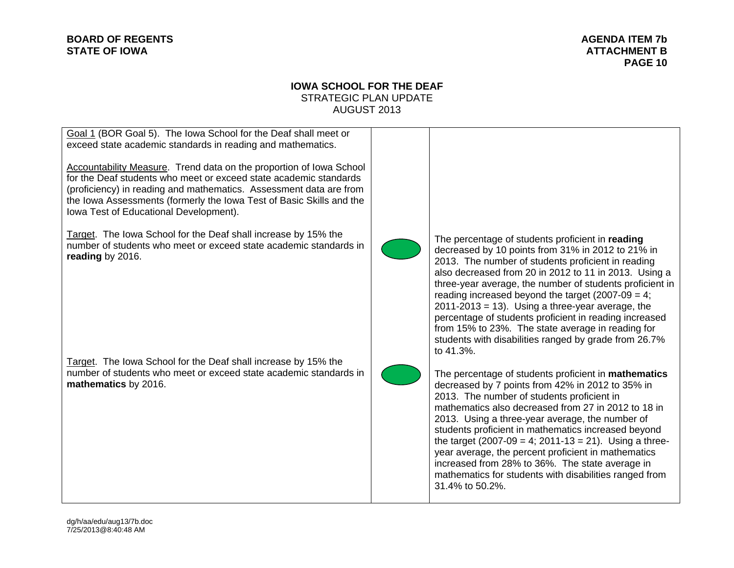# **BOARD OF REGENTS STATE OF IOWA ATTACHMENT B**

# **IOWA SCHOOL FOR THE DEAF** STRATEGIC PLAN UPDATE AUGUST 2013

| Goal 1 (BOR Goal 5). The lowa School for the Deaf shall meet or<br>exceed state academic standards in reading and mathematics.<br>Accountability Measure. Trend data on the proportion of Iowa School<br>for the Deaf students who meet or exceed state academic standards<br>(proficiency) in reading and mathematics. Assessment data are from<br>the Iowa Assessments (formerly the Iowa Test of Basic Skills and the<br>Iowa Test of Educational Development). |                                                                                                                                                                                                                                                                                                                                                                                                                                                                                                                                                                                    |
|--------------------------------------------------------------------------------------------------------------------------------------------------------------------------------------------------------------------------------------------------------------------------------------------------------------------------------------------------------------------------------------------------------------------------------------------------------------------|------------------------------------------------------------------------------------------------------------------------------------------------------------------------------------------------------------------------------------------------------------------------------------------------------------------------------------------------------------------------------------------------------------------------------------------------------------------------------------------------------------------------------------------------------------------------------------|
| Target. The lowa School for the Deaf shall increase by 15% the<br>number of students who meet or exceed state academic standards in<br>reading by 2016.                                                                                                                                                                                                                                                                                                            | The percentage of students proficient in reading<br>decreased by 10 points from 31% in 2012 to 21% in<br>2013. The number of students proficient in reading<br>also decreased from 20 in 2012 to 11 in 2013. Using a<br>three-year average, the number of students proficient in<br>reading increased beyond the target (2007-09 = 4;<br>$2011 - 2013 = 13$ . Using a three-year average, the<br>percentage of students proficient in reading increased<br>from 15% to 23%. The state average in reading for<br>students with disabilities ranged by grade from 26.7%<br>to 41.3%. |
| Target. The lowa School for the Deaf shall increase by 15% the<br>number of students who meet or exceed state academic standards in<br>mathematics by 2016.                                                                                                                                                                                                                                                                                                        | The percentage of students proficient in <b>mathematics</b><br>decreased by 7 points from 42% in 2012 to 35% in<br>2013. The number of students proficient in<br>mathematics also decreased from 27 in 2012 to 18 in<br>2013. Using a three-year average, the number of<br>students proficient in mathematics increased beyond<br>the target $(2007-09 = 4; 2011-13 = 21)$ . Using a three-<br>year average, the percent proficient in mathematics<br>increased from 28% to 36%. The state average in<br>mathematics for students with disabilities ranged from<br>31.4% to 50.2%. |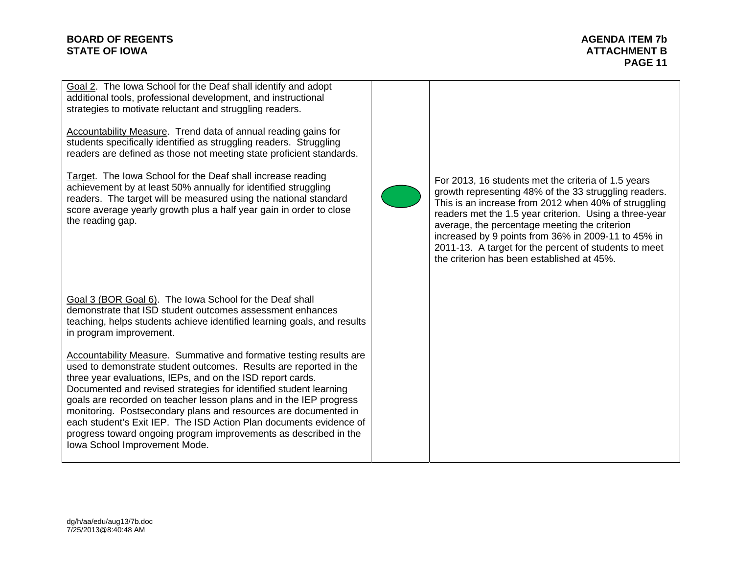**PAGE 11** 

Goal 2. The Iowa School for the Deaf shall identify and adopt additional tools, professional development, and instructional strategies to motivate reluctant and struggling readers.

Accountability Measure. Trend data of annual reading gains for students specifically identified as struggling readers. Struggling readers are defined as those not meeting state proficient standards.

Target. The Iowa School for the Deaf shall increase reading achievement by at least 50% annually for identified struggling readers. The target will be measured using the national standard score average yearly growth plus a half year gain in order to close the reading gap.

Goal 3 (BOR Goal 6). The Iowa School for the Deaf shall demonstrate that ISD student outcomes assessment enhances teaching, helps students achieve identified learning goals, and results in program improvement.

Accountability Measure. Summative and formative testing results are used to demonstrate student outcomes. Results are reported in the three year evaluations, IEPs, and on the ISD report cards. Documented and revised strategies for identified student learning goals are recorded on teacher lesson plans and in the IEP progress monitoring. Postsecondary plans and resources are documented in each student's Exit IEP. The ISD Action Plan documents evidence of progress toward ongoing program improvements as described in the Iowa School Improvement Mode.



For 2013, 16 students met the criteria of 1.5 years growth representing 48% of the 33 struggling readers. This is an increase from 2012 when 40% of struggling readers met the 1.5 year criterion. Using a three-year average, the percentage meeting the criterion increased by 9 points from 36% in 2009-11 to 45% in 2011-13. A target for the percent of students to meet the criterion has been established at 45%.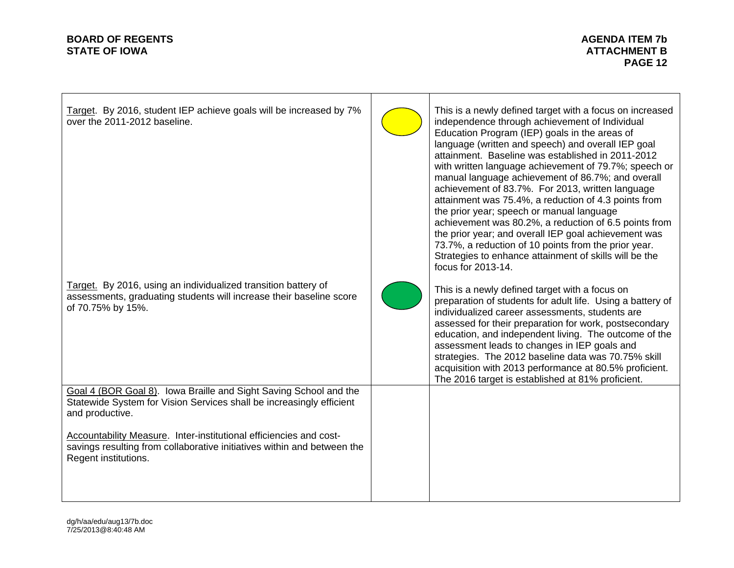# **BOARD OF REGENTS STATE OF IOWA ATTACHMENT B**

 $\Gamma$ 

| Target. By 2016, student IEP achieve goals will be increased by 7%<br>over the 2011-2012 baseline.                                                                    | This is a newly defined target with a focus on increased<br>independence through achievement of Individual<br>Education Program (IEP) goals in the areas of<br>language (written and speech) and overall IEP goal<br>attainment. Baseline was established in 2011-2012<br>with written language achievement of 79.7%; speech or<br>manual language achievement of 86.7%; and overall<br>achievement of 83.7%. For 2013, written language<br>attainment was 75.4%, a reduction of 4.3 points from<br>the prior year; speech or manual language<br>achievement was 80.2%, a reduction of 6.5 points from<br>the prior year; and overall IEP goal achievement was<br>73.7%, a reduction of 10 points from the prior year.<br>Strategies to enhance attainment of skills will be the<br>focus for 2013-14. |
|-----------------------------------------------------------------------------------------------------------------------------------------------------------------------|--------------------------------------------------------------------------------------------------------------------------------------------------------------------------------------------------------------------------------------------------------------------------------------------------------------------------------------------------------------------------------------------------------------------------------------------------------------------------------------------------------------------------------------------------------------------------------------------------------------------------------------------------------------------------------------------------------------------------------------------------------------------------------------------------------|
| Target. By 2016, using an individualized transition battery of<br>assessments, graduating students will increase their baseline score<br>of 70.75% by 15%.            | This is a newly defined target with a focus on<br>preparation of students for adult life. Using a battery of<br>individualized career assessments, students are<br>assessed for their preparation for work, postsecondary<br>education, and independent living. The outcome of the<br>assessment leads to changes in IEP goals and<br>strategies. The 2012 baseline data was 70.75% skill<br>acquisition with 2013 performance at 80.5% proficient.<br>The 2016 target is established at 81% proficient.                                                                                                                                                                                                                                                                                               |
| Goal 4 (BOR Goal 8). Iowa Braille and Sight Saving School and the<br>Statewide System for Vision Services shall be increasingly efficient<br>and productive.          |                                                                                                                                                                                                                                                                                                                                                                                                                                                                                                                                                                                                                                                                                                                                                                                                        |
| Accountability Measure. Inter-institutional efficiencies and cost-<br>savings resulting from collaborative initiatives within and between the<br>Regent institutions. |                                                                                                                                                                                                                                                                                                                                                                                                                                                                                                                                                                                                                                                                                                                                                                                                        |